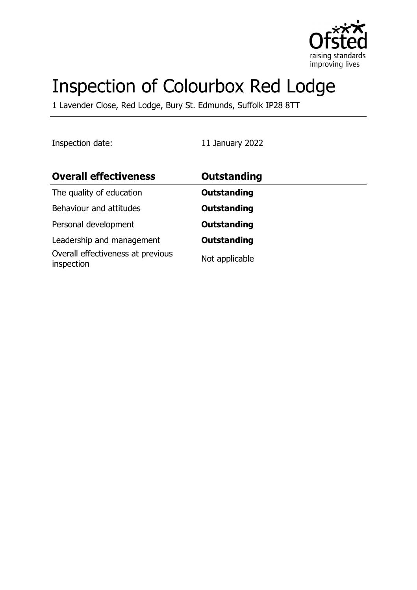

# Inspection of Colourbox Red Lodge

1 Lavender Close, Red Lodge, Bury St. Edmunds, Suffolk IP28 8TT

Inspection date: 11 January 2022

| <b>Overall effectiveness</b>                    | <b>Outstanding</b> |
|-------------------------------------------------|--------------------|
| The quality of education                        | Outstanding        |
| Behaviour and attitudes                         | Outstanding        |
| Personal development                            | Outstanding        |
| Leadership and management                       | Outstanding        |
| Overall effectiveness at previous<br>inspection | Not applicable     |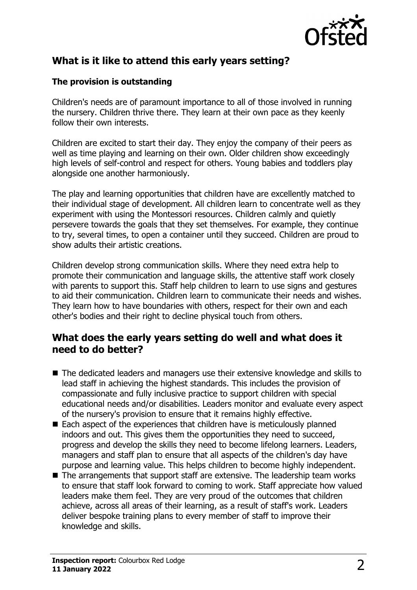

# **What is it like to attend this early years setting?**

#### **The provision is outstanding**

Children's needs are of paramount importance to all of those involved in running the nursery. Children thrive there. They learn at their own pace as they keenly follow their own interests.

Children are excited to start their day. They enjoy the company of their peers as well as time playing and learning on their own. Older children show exceedingly high levels of self-control and respect for others. Young babies and toddlers play alongside one another harmoniously.

The play and learning opportunities that children have are excellently matched to their individual stage of development. All children learn to concentrate well as they experiment with using the Montessori resources. Children calmly and quietly persevere towards the goals that they set themselves. For example, they continue to try, several times, to open a container until they succeed. Children are proud to show adults their artistic creations.

Children develop strong communication skills. Where they need extra help to promote their communication and language skills, the attentive staff work closely with parents to support this. Staff help children to learn to use signs and gestures to aid their communication. Children learn to communicate their needs and wishes. They learn how to have boundaries with others, respect for their own and each other's bodies and their right to decline physical touch from others.

#### **What does the early years setting do well and what does it need to do better?**

- $\blacksquare$  The dedicated leaders and managers use their extensive knowledge and skills to lead staff in achieving the highest standards. This includes the provision of compassionate and fully inclusive practice to support children with special educational needs and/or disabilities. Leaders monitor and evaluate every aspect of the nursery's provision to ensure that it remains highly effective.
- $\blacksquare$  Each aspect of the experiences that children have is meticulously planned indoors and out. This gives them the opportunities they need to succeed, progress and develop the skills they need to become lifelong learners. Leaders, managers and staff plan to ensure that all aspects of the children's day have purpose and learning value. This helps children to become highly independent.
- $\blacksquare$  The arrangements that support staff are extensive. The leadership team works to ensure that staff look forward to coming to work. Staff appreciate how valued leaders make them feel. They are very proud of the outcomes that children achieve, across all areas of their learning, as a result of staff's work. Leaders deliver bespoke training plans to every member of staff to improve their knowledge and skills.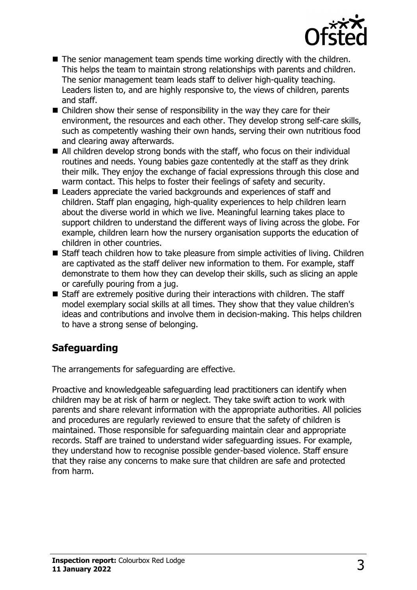

- $\blacksquare$  The senior management team spends time working directly with the children. This helps the team to maintain strong relationships with parents and children. The senior management team leads staff to deliver high-quality teaching. Leaders listen to, and are highly responsive to, the views of children, parents and staff.
- $\blacksquare$  Children show their sense of responsibility in the way they care for their environment, the resources and each other. They develop strong self-care skills, such as competently washing their own hands, serving their own nutritious food and clearing away afterwards.
- $\blacksquare$  All children develop strong bonds with the staff, who focus on their individual routines and needs. Young babies gaze contentedly at the staff as they drink their milk. They enjoy the exchange of facial expressions through this close and warm contact. This helps to foster their feelings of safety and security.
- $\blacksquare$  Leaders appreciate the varied backgrounds and experiences of staff and children. Staff plan engaging, high-quality experiences to help children learn about the diverse world in which we live. Meaningful learning takes place to support children to understand the different ways of living across the globe. For example, children learn how the nursery organisation supports the education of children in other countries.
- Staff teach children how to take pleasure from simple activities of living. Children are captivated as the staff deliver new information to them. For example, staff demonstrate to them how they can develop their skills, such as slicing an apple or carefully pouring from a jug.
- $\blacksquare$  Staff are extremely positive during their interactions with children. The staff model exemplary social skills at all times. They show that they value children's ideas and contributions and involve them in decision-making. This helps children to have a strong sense of belonging.

## **Safeguarding**

The arrangements for safeguarding are effective.

Proactive and knowledgeable safeguarding lead practitioners can identify when children may be at risk of harm or neglect. They take swift action to work with parents and share relevant information with the appropriate authorities. All policies and procedures are regularly reviewed to ensure that the safety of children is maintained. Those responsible for safeguarding maintain clear and appropriate records. Staff are trained to understand wider safeguarding issues. For example, they understand how to recognise possible gender-based violence. Staff ensure that they raise any concerns to make sure that children are safe and protected from harm.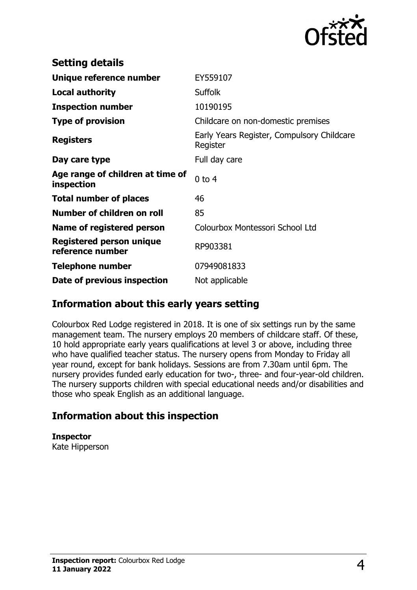

| <b>Setting details</b>                         |                                                        |
|------------------------------------------------|--------------------------------------------------------|
| Unique reference number                        | EY559107                                               |
| <b>Local authority</b>                         | <b>Suffolk</b>                                         |
| <b>Inspection number</b>                       | 10190195                                               |
| <b>Type of provision</b>                       | Childcare on non-domestic premises                     |
| <b>Registers</b>                               | Early Years Register, Compulsory Childcare<br>Register |
| Day care type                                  | Full day care                                          |
| Age range of children at time of<br>inspection | $0$ to $4$                                             |
| <b>Total number of places</b>                  | 46                                                     |
| Number of children on roll                     | 85                                                     |
| Name of registered person                      | Colourbox Montessori School Ltd                        |
| Registered person unique<br>reference number   | RP903381                                               |
| <b>Telephone number</b>                        | 07949081833                                            |
| Date of previous inspection                    | Not applicable                                         |

### **Information about this early years setting**

Colourbox Red Lodge registered in 2018. It is one of six settings run by the same management team. The nursery employs 20 members of childcare staff. Of these, 10 hold appropriate early years qualifications at level 3 or above, including three who have qualified teacher status. The nursery opens from Monday to Friday all year round, except for bank holidays. Sessions are from 7.30am until 6pm. The nursery provides funded early education for two-, three- and four-year-old children. The nursery supports children with special educational needs and/or disabilities and those who speak English as an additional language.

## **Information about this inspection**

**Inspector** Kate Hipperson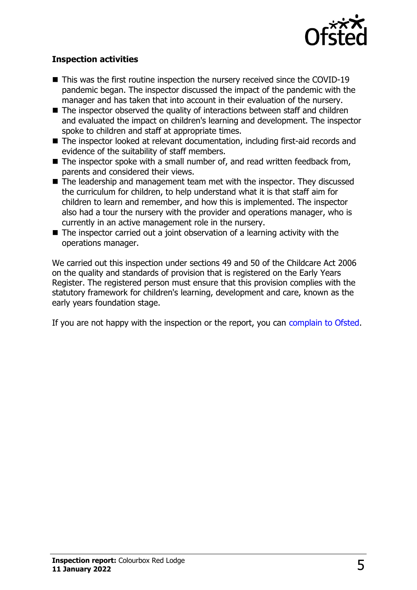

#### **Inspection activities**

- $\blacksquare$  This was the first routine inspection the nursery received since the COVID-19 pandemic began. The inspector discussed the impact of the pandemic with the manager and has taken that into account in their evaluation of the nursery.
- $\blacksquare$  The inspector observed the quality of interactions between staff and children and evaluated the impact on children's learning and development. The inspector spoke to children and staff at appropriate times.
- $\blacksquare$  The inspector looked at relevant documentation, including first-aid records and evidence of the suitability of staff members.
- $\blacksquare$  The inspector spoke with a small number of, and read written feedback from, parents and considered their views.
- $\blacksquare$  The leadership and management team met with the inspector. They discussed the curriculum for children, to help understand what it is that staff aim for children to learn and remember, and how this is implemented. The inspector also had a tour the nursery with the provider and operations manager, who is currently in an active management role in the nursery.
- $\blacksquare$  The inspector carried out a joint observation of a learning activity with the operations manager.

We carried out this inspection under sections 49 and 50 of the Childcare Act 2006 on the quality and standards of provision that is registered on the Early Years Register. The registered person must ensure that this provision complies with the statutory framework for children's learning, development and care, known as the early years foundation stage.

If you are not happy with the inspection or the report, you can [complain to Ofsted](http://www.gov.uk/complain-ofsted-report).